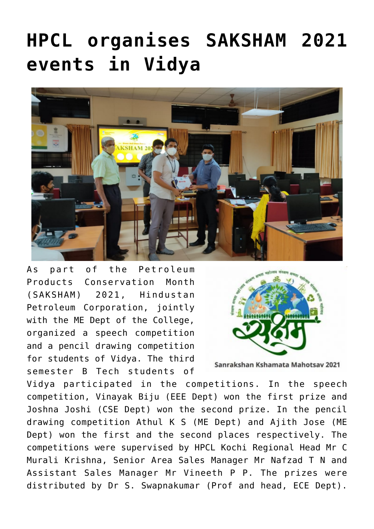## **[HPCL organises SAKSHAM 2021](https://news.vidyaacademy.ac.in/2021/02/17/hpcl-saksham-2021-at-vidya/) [events in Vidya](https://news.vidyaacademy.ac.in/2021/02/17/hpcl-saksham-2021-at-vidya/)**



As part of the Petroleum Products Conservation Month (SAKSHAM) 2021, Hindustan Petroleum Corporation, jointly with the ME Dept of the College, organized a speech competition and a pencil drawing competition for students of Vidya. The third semester B Tech students of



Sanrakshan Kshamata Mahotsav 2021

Vidya participated in the competitions. In the speech competition, Vinayak Biju (EEE Dept) won the first prize and Joshna Joshi (CSE Dept) won the second prize. In the pencil drawing competition Athul K S (ME Dept) and Ajith Jose (ME Dept) won the first and the second places respectively. The competitions were supervised by HPCL Kochi Regional Head Mr C Murali Krishna, Senior Area Sales Manager Mr Nafzad T N and Assistant Sales Manager Mr Vineeth P P. The prizes were distributed by Dr S. Swapnakumar (Prof and head, ECE Dept).